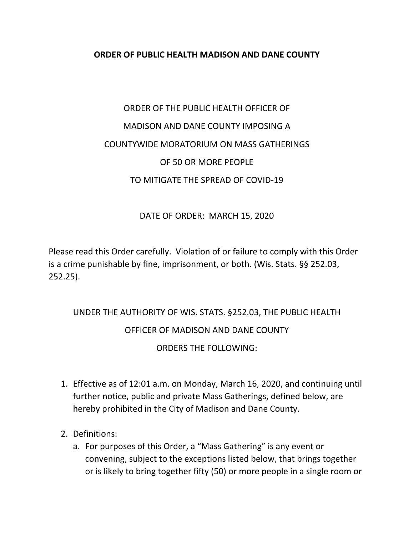## **ORDER OF PUBLIC HEALTH MADISON AND DANE COUNTY**

## ORDER OF THE PUBLIC HEALTH OFFICER OF MADISON AND DANE COUNTY IMPOSING A COUNTYWIDE MORATORIUM ON MASS GATHERINGS OF 50 OR MORE PEOPLE TO MITIGATE THE SPREAD OF COVID‐19

## DATE OF ORDER: MARCH 15, 2020

Please read this Order carefully. Violation of or failure to comply with this Order is a crime punishable by fine, imprisonment, or both. (Wis. Stats. §§ 252.03, 252.25).

## UNDER THE AUTHORITY OF WIS. STATS. §252.03, THE PUBLIC HEALTH OFFICER OF MADISON AND DANE COUNTY ORDERS THE FOLLOWING:

- 1. Effective as of 12:01 a.m. on Monday, March 16, 2020, and continuing until further notice, public and private Mass Gatherings, defined below, are hereby prohibited in the City of Madison and Dane County.
- 2. Definitions:
	- a. For purposes of this Order, a "Mass Gathering" is any event or convening, subject to the exceptions listed below, that brings together or is likely to bring together fifty (50) or more people in a single room or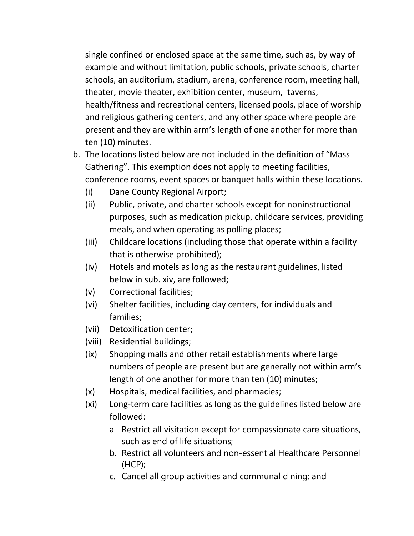single confined or enclosed space at the same time, such as, by way of example and without limitation, public schools, private schools, charter schools, an auditorium, stadium, arena, conference room, meeting hall, theater, movie theater, exhibition center, museum, taverns, health/fitness and recreational centers, licensed pools, place of worship and religious gathering centers, and any other space where people are present and they are within arm's length of one another for more than ten (10) minutes.

- b. The locations listed below are not included in the definition of "Mass Gathering". This exemption does not apply to meeting facilities, conference rooms, event spaces or banquet halls within these locations.
	- (i) Dane County Regional Airport;
	- (ii) Public, private, and charter schools except for noninstructional purposes, such as medication pickup, childcare services, providing meals, and when operating as polling places;
	- (iii) Childcare locations (including those that operate within a facility that is otherwise prohibited);
	- (iv) Hotels and motels as long as the restaurant guidelines, listed below in sub. xiv, are followed;
	- (v) Correctional facilities;
	- (vi) Shelter facilities, including day centers, for individuals and families;
	- (vii) Detoxification center;
	- (viii) Residential buildings;
	- (ix) Shopping malls and other retail establishments where large numbers of people are present but are generally not within arm's length of one another for more than ten (10) minutes;
	- (x) Hospitals, medical facilities, and pharmacies;
	- (xi) Long‐term care facilities as long as the guidelines listed below are followed:
		- a. Restrict all visitation except for compassionate care situations, such as end of life situations;
		- b. Restrict all volunteers and non-essential Healthcare Personnel (HCP);
		- c. Cancel all group activities and communal dining; and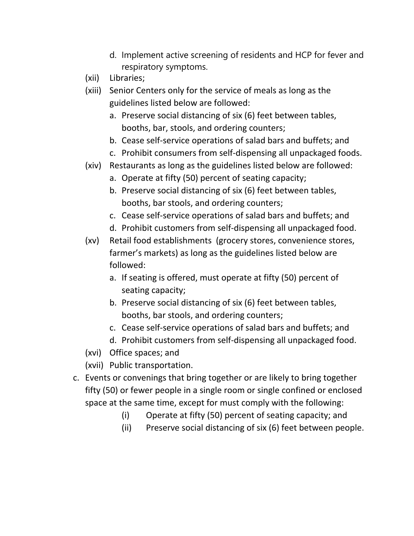- d. Implement active screening of residents and HCP for fever and respiratory symptoms.
- (xii) Libraries;
- (xiii) Senior Centers only for the service of meals as long as the guidelines listed below are followed:
	- a. Preserve social distancing of six (6) feet between tables, booths, bar, stools, and ordering counters;
	- b. Cease self‐service operations of salad bars and buffets; and
	- c. Prohibit consumers from self‐dispensing all unpackaged foods.
- (xiv) Restaurants as long as the guidelines listed below are followed:
	- a. Operate at fifty (50) percent of seating capacity;
	- b. Preserve social distancing of six (6) feet between tables, booths, bar stools, and ordering counters;
	- c. Cease self‐service operations of salad bars and buffets; and
	- d. Prohibit customers from self‐dispensing all unpackaged food.
- (xv) Retail food establishments (grocery stores, convenience stores, farmer's markets) as long as the guidelines listed below are followed:
	- a. If seating is offered, must operate at fifty (50) percent of seating capacity;
	- b. Preserve social distancing of six (6) feet between tables, booths, bar stools, and ordering counters;
	- c. Cease self‐service operations of salad bars and buffets; and
	- d. Prohibit customers from self‐dispensing all unpackaged food.
- (xvi) Office spaces; and
- (xvii) Public transportation.
- c. Events or convenings that bring together or are likely to bring together fifty (50) or fewer people in a single room or single confined or enclosed space at the same time, except for must comply with the following:
	- (i) Operate at fifty (50) percent of seating capacity; and
	- (ii) Preserve social distancing of six (6) feet between people.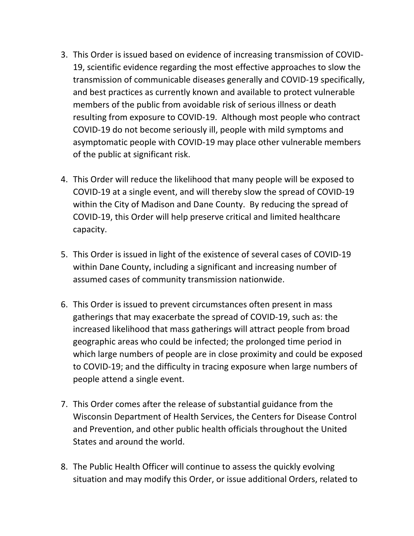- 3. This Order is issued based on evidence of increasing transmission of COVID‐ 19, scientific evidence regarding the most effective approaches to slow the transmission of communicable diseases generally and COVID‐19 specifically, and best practices as currently known and available to protect vulnerable members of the public from avoidable risk of serious illness or death resulting from exposure to COVID‐19. Although most people who contract COVID‐19 do not become seriously ill, people with mild symptoms and asymptomatic people with COVID‐19 may place other vulnerable members of the public at significant risk.
- 4. This Order will reduce the likelihood that many people will be exposed to COVID‐19 at a single event, and will thereby slow the spread of COVID‐19 within the City of Madison and Dane County. By reducing the spread of COVID‐19, this Order will help preserve critical and limited healthcare capacity.
- 5. This Order is issued in light of the existence of several cases of COVID‐19 within Dane County, including a significant and increasing number of assumed cases of community transmission nationwide.
- 6. This Order is issued to prevent circumstances often present in mass gatherings that may exacerbate the spread of COVID‐19, such as: the increased likelihood that mass gatherings will attract people from broad geographic areas who could be infected; the prolonged time period in which large numbers of people are in close proximity and could be exposed to COVID‐19; and the difficulty in tracing exposure when large numbers of people attend a single event.
- 7. This Order comes after the release of substantial guidance from the Wisconsin Department of Health Services, the Centers for Disease Control and Prevention, and other public health officials throughout the United States and around the world.
- 8. The Public Health Officer will continue to assess the quickly evolving situation and may modify this Order, or issue additional Orders, related to